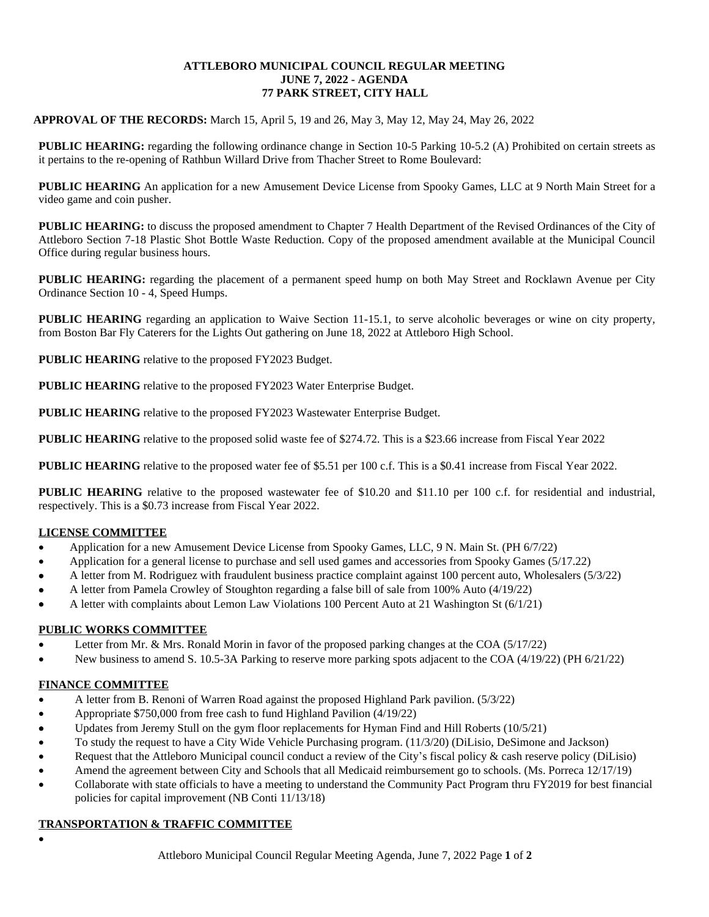#### **ATTLEBORO MUNICIPAL COUNCIL REGULAR MEETING JUNE 7, 2022 - AGENDA 77 PARK STREET, CITY HALL**

#### **APPROVAL OF THE RECORDS:** March 15, April 5, 19 and 26, May 3, May 12, May 24, May 26, 2022

**PUBLIC HEARING:** regarding the following ordinance change in Section 10-5 Parking 10-5.2 (A) Prohibited on certain streets as it pertains to the re-opening of Rathbun Willard Drive from Thacher Street to Rome Boulevard:

**PUBLIC HEARING** An application for a new Amusement Device License from Spooky Games, LLC at 9 North Main Street for a video game and coin pusher.

**PUBLIC HEARING:** to discuss the proposed amendment to Chapter 7 Health Department of the Revised Ordinances of the City of Attleboro Section 7-18 Plastic Shot Bottle Waste Reduction. Copy of the proposed amendment available at the Municipal Council Office during regular business hours.

**PUBLIC HEARING:** regarding the placement of a permanent speed hump on both May Street and Rocklawn Avenue per City Ordinance Section 10 - 4, Speed Humps.

**PUBLIC HEARING** regarding an application to Waive Section 11-15.1, to serve alcoholic beverages or wine on city property, from Boston Bar Fly Caterers for the Lights Out gathering on June 18, 2022 at Attleboro High School.

**PUBLIC HEARING** relative to the proposed FY2023 Budget.

**PUBLIC HEARING** relative to the proposed FY2023 Water Enterprise Budget.

**PUBLIC HEARING** relative to the proposed FY2023 Wastewater Enterprise Budget.

**PUBLIC HEARING** relative to the proposed solid waste fee of \$274.72. This is a \$23.66 increase from Fiscal Year 2022

**PUBLIC HEARING** relative to the proposed water fee of \$5.51 per 100 c.f. This is a \$0.41 increase from Fiscal Year 2022.

**PUBLIC HEARING** relative to the proposed wastewater fee of \$10.20 and \$11.10 per 100 c.f. for residential and industrial, respectively. This is a \$0.73 increase from Fiscal Year 2022.

#### **LICENSE COMMITTEE**

- Application for a new Amusement Device License from Spooky Games, LLC, 9 N. Main St. (PH 6/7/22)
- Application for a general license to purchase and sell used games and accessories from Spooky Games (5/17.22)
- A letter from M. Rodriguez with fraudulent business practice complaint against 100 percent auto, Wholesalers (5/3/22)
- A letter from Pamela Crowley of Stoughton regarding a false bill of sale from 100% Auto (4/19/22)
- A letter with complaints about Lemon Law Violations 100 Percent Auto at 21 Washington St (6/1/21)

#### **PUBLIC WORKS COMMITTEE**

- Letter from Mr. & Mrs. Ronald Morin in favor of the proposed parking changes at the COA (5/17/22)
- New business to amend S. 10.5-3A Parking to reserve more parking spots adjacent to the COA (4/19/22) (PH 6/21/22)

## **FINANCE COMMITTEE**

- A letter from B. Renoni of Warren Road against the proposed Highland Park pavilion. (5/3/22)
- Appropriate \$750,000 from free cash to fund Highland Pavilion (4/19/22)
- Updates from Jeremy Stull on the gym floor replacements for Hyman Find and Hill Roberts (10/5/21)
- To study the request to have a City Wide Vehicle Purchasing program. (11/3/20) (DiLisio, DeSimone and Jackson)
- Request that the Attleboro Municipal council conduct a review of the City's fiscal policy & cash reserve policy (DiLisio)
- Amend the agreement between City and Schools that all Medicaid reimbursement go to schools. (Ms. Porreca 12/17/19)
- Collaborate with state officials to have a meeting to understand the Community Pact Program thru FY2019 for best financial policies for capital improvement (NB Conti 11/13/18)

## **TRANSPORTATION & TRAFFIC COMMITTEE**

 $\bullet$